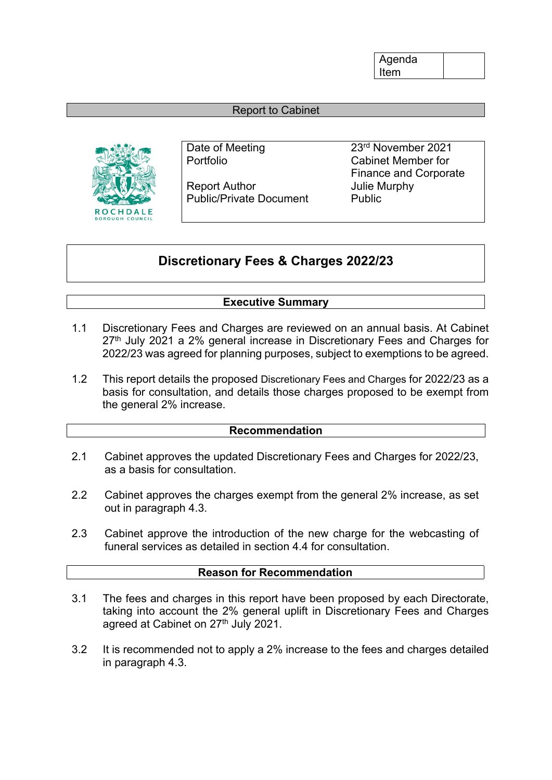Agenda Item

## Report to Cabinet



Report Author **In the Search Author** Julie Murphy Public/Private Document Public

Date of Meeting 23<sup>rd</sup> November 2021 Portfolio Cabinet Member for Finance and Corporate

# **Discretionary Fees & Charges 2022/23**

## **Executive Summary**

- 1.1 Discretionary Fees and Charges are reviewed on an annual basis. At Cabinet 27<sup>th</sup> July 2021 a 2% general increase in Discretionary Fees and Charges for 2022/23 was agreed for planning purposes, subject to exemptions to be agreed.
- 1.2 This report details the proposed Discretionary Fees and Charges for 2022/23 as a basis for consultation, and details those charges proposed to be exempt from the general 2% increase.

#### **Recommendation**

- 2.1 Cabinet approves the updated Discretionary Fees and Charges for 2022/23, as a basis for consultation.
- 2.2 Cabinet approves the charges exempt from the general 2% increase, as set out in paragraph 4.3.
- 2.3 Cabinet approve the introduction of the new charge for the webcasting of funeral services as detailed in section 4.4 for consultation

### **Reason for Recommendation**

- 3.1 The fees and charges in this report have been proposed by each Directorate, taking into account the 2% general uplift in Discretionary Fees and Charges agreed at Cabinet on 27<sup>th</sup> July 2021.
- 3.2 It is recommended not to apply a 2% increase to the fees and charges detailed in paragraph 4.3.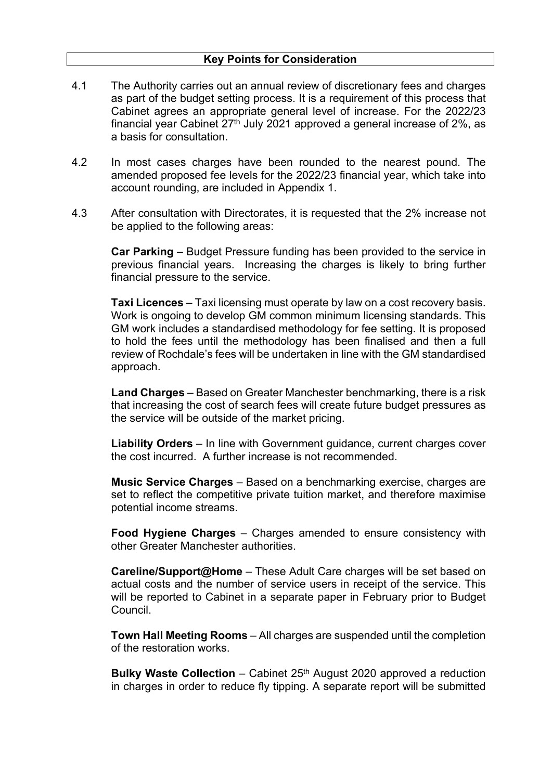- 4.1 The Authority carries out an annual review of discretionary fees and charges as part of the budget setting process. It is a requirement of this process that Cabinet agrees an appropriate general level of increase. For the 2022/23 financial year Cabinet  $27<sup>th</sup>$  July 2021 approved a general increase of  $2\%$ , as a basis for consultation.
- 4.2 In most cases charges have been rounded to the nearest pound. The amended proposed fee levels for the 2022/23 financial year, which take into account rounding, are included in Appendix 1.
- 4.3 After consultation with Directorates, it is requested that the 2% increase not be applied to the following areas:

**Car Parking** – Budget Pressure funding has been provided to the service in previous financial years. Increasing the charges is likely to bring further financial pressure to the service.

**Taxi Licences** – Taxi licensing must operate by law on a cost recovery basis. Work is ongoing to develop GM common minimum licensing standards. This GM work includes a standardised methodology for fee setting. It is proposed to hold the fees until the methodology has been finalised and then a full review of Rochdale's fees will be undertaken in line with the GM standardised approach.

**Land Charges** – Based on Greater Manchester benchmarking, there is a risk that increasing the cost of search fees will create future budget pressures as the service will be outside of the market pricing.

**Liability Orders** – In line with Government guidance, current charges cover the cost incurred. A further increase is not recommended.

**Music Service Charges** – Based on a benchmarking exercise, charges are set to reflect the competitive private tuition market, and therefore maximise potential income streams.

**Food Hygiene Charges** – Charges amended to ensure consistency with other Greater Manchester authorities.

**Careline/Support@Home** – These Adult Care charges will be set based on actual costs and the number of service users in receipt of the service. This will be reported to Cabinet in a separate paper in February prior to Budget Council.

**Town Hall Meeting Rooms** – All charges are suspended until the completion of the restoration works.

**Bulky Waste Collection** – Cabinet 25th August 2020 approved a reduction in charges in order to reduce fly tipping. A separate report will be submitted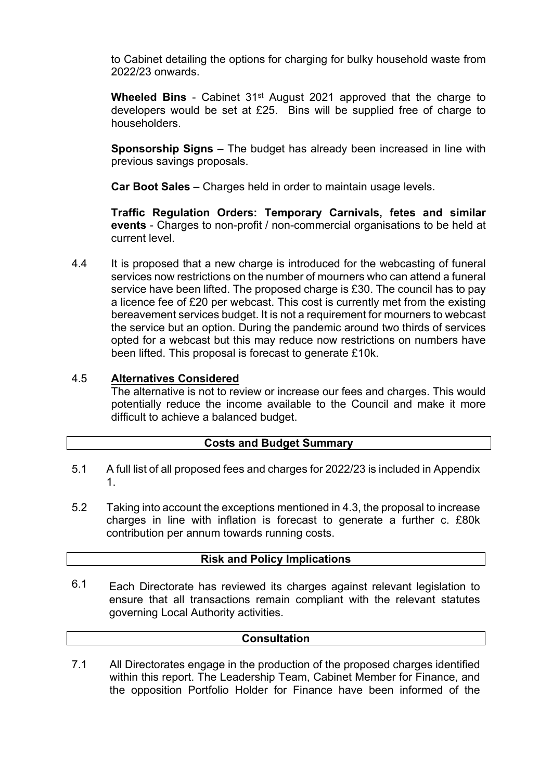to Cabinet detailing the options for charging for bulky household waste from 2022/23 onwards.

**Wheeled Bins** - Cabinet 31<sup>st</sup> August 2021 approved that the charge to developers would be set at £25. Bins will be supplied free of charge to householders.

**Sponsorship Signs** – The budget has already been increased in line with previous savings proposals.

**Car Boot Sales** – Charges held in order to maintain usage levels.

**Traffic Regulation Orders: Temporary Carnivals, fetes and similar events** - Charges to non-profit / non-commercial organisations to be held at current level.

4.4 It is proposed that a new charge is introduced for the webcasting of funeral services now restrictions on the number of mourners who can attend a funeral service have been lifted. The proposed charge is £30. The council has to pay a licence fee of £20 per webcast. This cost is currently met from the existing bereavement services budget. It is not a requirement for mourners to webcast the service but an option. During the pandemic around two thirds of services opted for a webcast but this may reduce now restrictions on numbers have been lifted. This proposal is forecast to generate £10k.

#### 4.5 **Alternatives Considered**

The alternative is not to review or increase our fees and charges. This would potentially reduce the income available to the Council and make it more difficult to achieve a balanced budget.

## **Costs and Budget Summary**

- 5.1 A full list of all proposed fees and charges for 2022/23 is included in Appendix 1.
- 5.2 Taking into account the exceptions mentioned in 4.3, the proposal to increase charges in line with inflation is forecast to generate a further c. £80k contribution per annum towards running costs.

## **Risk and Policy Implications**

Each Directorate has reviewed its charges against relevant legislation to ensure that all transactions remain compliant with the relevant statutes governing Local Authority activities. 6.1

### **Consultation**

7.1 All Directorates engage in the production of the proposed charges identified within this report. The Leadership Team, Cabinet Member for Finance, and the opposition Portfolio Holder for Finance have been informed of the